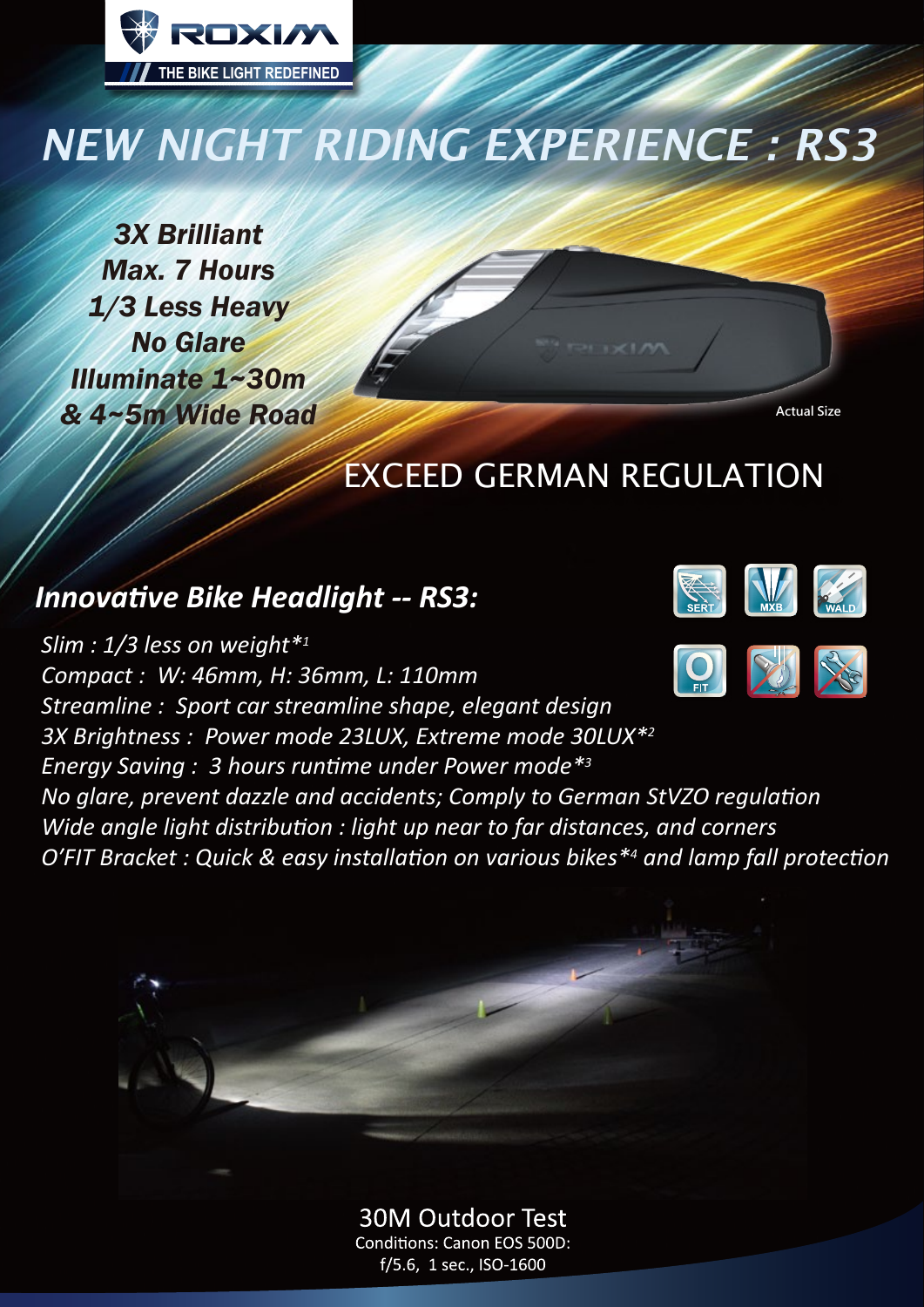

# *NEW NIGHT RIDING EXPERIENCE : RS3*

*3X Brilliant Max. 7 Hours 1/3 Less Heavy No Glare Illuminate 1~30m & 4~5m Wide Road*

**Actual Size**

## EXCEED GERMAN REGULATION

## *Innovative Bike Headlight -- RS3:*



**30M Outdoor Test Conditions: Canon EOS 500D:** f/5.6, 1 sec., ISO-1600